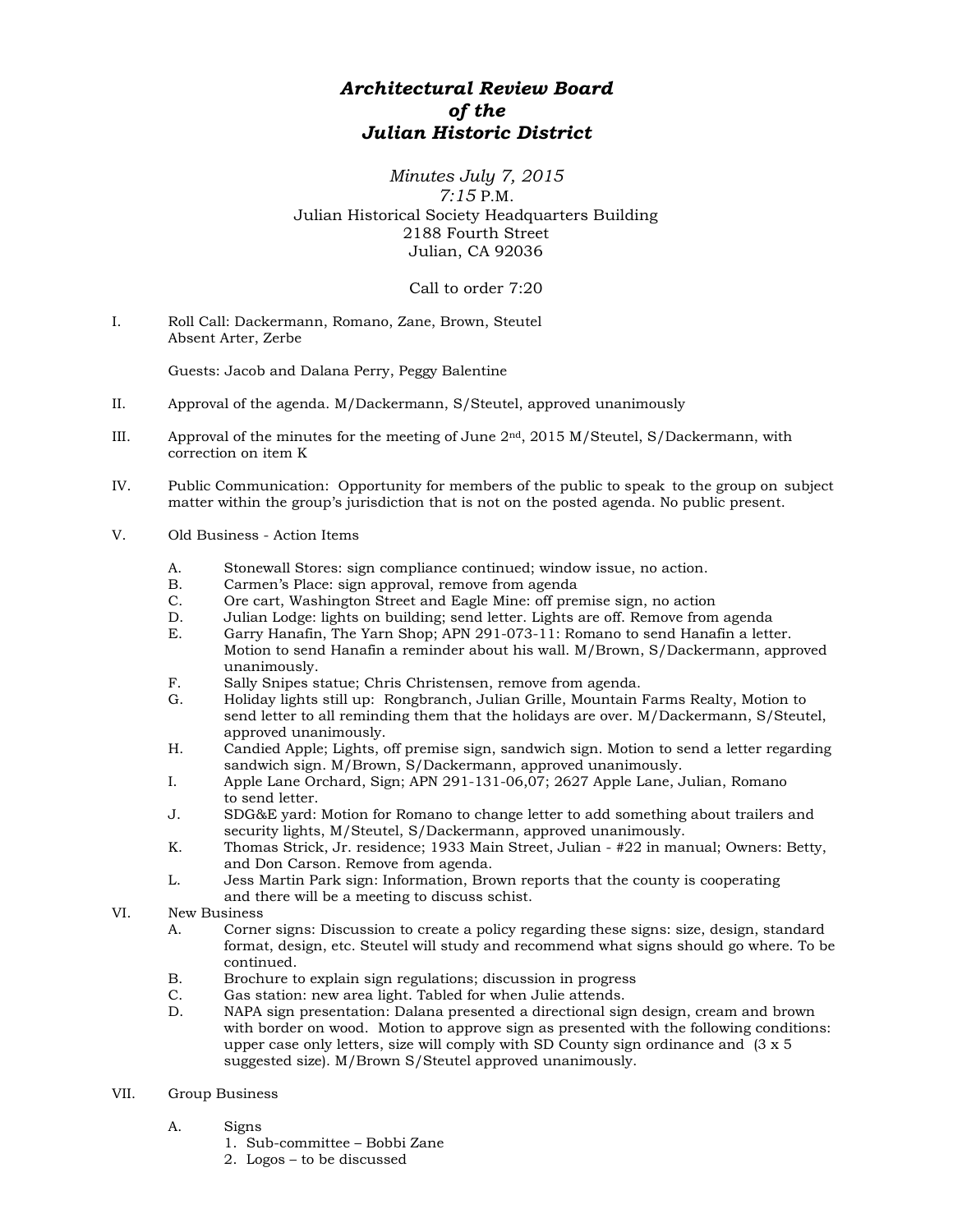## *Architectural Review Board of the Julian Historic District*

## *Minutes July 7, 2015 7:15* P.M. Julian Historical Society Headquarters Building 2188 Fourth Street Julian, CA 92036

Call to order 7:20

I. Roll Call: Dackermann, Romano, Zane, Brown, Steutel Absent Arter, Zerbe

Guests: Jacob and Dalana Perry, Peggy Balentine

- II. Approval of the agenda. M/Dackermann, S/Steutel, approved unanimously
- III. Approval of the minutes for the meeting of June 2nd, 2015 M/Steutel, S/Dackermann, with correction on item K
- IV. Public Communication: Opportunity for members of the public to speak to the group on subject matter within the group's jurisdiction that is not on the posted agenda. No public present.
- V. Old Business Action Items
	- A. Stonewall Stores: sign compliance continued; window issue, no action.<br>B. Carmen's Place: sign approval. remove from agenda
	- B. Carmen's Place: sign approval, remove from agenda<br>C. Ore cart. Washington Street and Eagle Mine: off pre-
	- C. Ore cart, Washington Street and Eagle Mine: off premise sign, no action
	- D. Julian Lodge: lights on building; send letter. Lights are off. Remove from agenda
	- Garry Hanafin, The Yarn Shop; APN 291-073-11: Romano to send Hanafin a letter. Motion to send Hanafin a reminder about his wall. M/Brown, S/Dackermann, approved unanimously.
	- F. Sally Snipes statue; Chris Christensen, remove from agenda.
	- G. Holiday lights still up: Rongbranch, Julian Grille, Mountain Farms Realty, Motion to send letter to all reminding them that the holidays are over. M/Dackermann, S/Steutel, approved unanimously.
	- H. Candied Apple; Lights, off premise sign, sandwich sign. Motion to send a letter regarding sandwich sign. M/Brown, S/Dackermann, approved unanimously.
	- I. Apple Lane Orchard, Sign; APN 291-131-06,07; 2627 Apple Lane, Julian, Romano to send letter.
	- J. SDG&E yard: Motion for Romano to change letter to add something about trailers and security lights, M/Steutel, S/Dackermann, approved unanimously.
	- K. Thomas Strick, Jr. residence; 1933 Main Street, Julian #22 in manual; Owners: Betty, and Don Carson. Remove from agenda.
	- L. Jess Martin Park sign: Information, Brown reports that the county is cooperating and there will be a meeting to discuss schist.
- VI. New Business
	- A. Corner signs: Discussion to create a policy regarding these signs: size, design, standard format, design, etc. Steutel will study and recommend what signs should go where. To be continued.
	- B. Brochure to explain sign regulations; discussion in progress C. Gas station: new area light. Tabled for when Julie attends.
	- Gas station: new area light. Tabled for when Julie attends.
	- D. NAPA sign presentation: Dalana presented a directional sign design, cream and brown with border on wood. Motion to approve sign as presented with the following conditions: upper case only letters, size will comply with SD County sign ordinance and (3 x 5 suggested size). M/Brown S/Steutel approved unanimously.

## VII. Group Business

- A. Signs
	- 1. Sub-committee Bobbi Zane
	- 2. Logos to be discussed